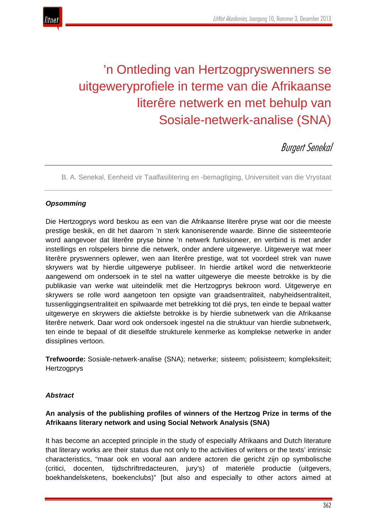

# 'n Ontleding van Hertzogpryswenners se uitgeweryprofiele in terme van die Afrikaanse literêre netwerk en met behulp van Sosiale-netwerk-analise (SNA)

# **Burgert Senekal**

B. A. Senekal, Eenheid vir Taalfasilitering en -bemagtiging, Universiteit van die Vrystaat

# *Opsomming*

Die Hertzogprys word beskou as een van die Afrikaanse literêre pryse wat oor die meeste prestige beskik, en dit het daarom 'n sterk kanoniserende waarde. Binne die sisteemteorie word aangevoer dat literêre pryse binne 'n netwerk funksioneer, en verbind is met ander instellings en rolspelers binne die netwerk, onder andere uitgewerye. Uitgewerye wat meer literêre pryswenners oplewer, wen aan literêre prestige, wat tot voordeel strek van nuwe skrywers wat by hierdie uitgewerye publiseer. In hierdie artikel word die netwerkteorie aangewend om ondersoek in te stel na watter uitgewerye die meeste betrokke is by die publikasie van werke wat uiteindelik met die Hertzogprys bekroon word. Uitgewerye en skrywers se rolle word aangetoon ten opsigte van graadsentraliteit, nabyheidsentraliteit, tussenliggingsentraliteit en spilwaarde met betrekking tot dié prys, ten einde te bepaal watter uitgewerye en skrywers die aktiefste betrokke is by hierdie subnetwerk van die Afrikaanse literêre netwerk. Daar word ook ondersoek ingestel na die struktuur van hierdie subnetwerk, ten einde te bepaal of dit dieselfde strukturele kenmerke as komplekse netwerke in ander dissiplines vertoon.

**Trefwoorde:** Sosiale-netwerk-analise (SNA); netwerke; sisteem; polisisteem; kompleksiteit; **Hertzogprys** 

#### *Abstract*

### **An analysis of the publishing profiles of winners of the Hertzog Prize in terms of the Afrikaans literary network and using Social Network Analysis (SNA)**

It has become an accepted principle in the study of especially Afrikaans and Dutch literature that literary works are their status due not only to the activities of writers or the texts' intrinsic characteristics, "maar ook en vooral aan andere actoren die gericht zijn op symbolische (critici, docenten, tijdschriftredacteuren, jury's) of materiële productie (uitgevers, boekhandelsketens, boekenclubs)" [but also and especially to other actors aimed at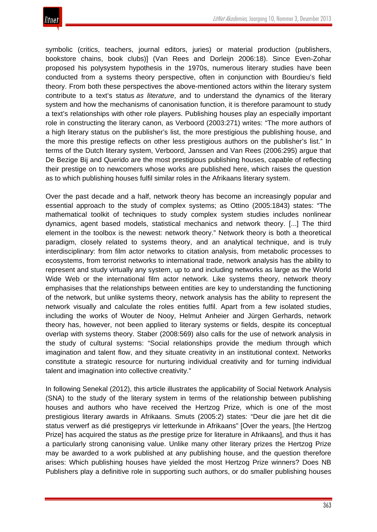

symbolic (critics, teachers, journal editors, juries) or material production (publishers, bookstore chains, book clubs)] (Van Rees and Dorleijn 2006:18). Since Even-Zohar proposed his polysystem hypothesis in the 1970s, numerous literary studies have been conducted from a systems theory perspective, often in conjunction with Bourdieu's field theory. From both these perspectives the above-mentioned actors within the literary system contribute to a text's status *as literature*, and to understand the dynamics of the literary system and how the mechanisms of canonisation function, it is therefore paramount to study a text's relationships with other role players. Publishing houses play an especially important role in constructing the literary canon, as Verboord (2003:271) writes: "The more authors of a high literary status on the publisher's list, the more prestigious the publishing house, and the more this prestige reflects on other less prestigious authors on the publisher's list." In terms of the Dutch literary system, Verboord, Janssen and Van Rees (2006:295) argue that De Bezige Bij and Querido are the most prestigious publishing houses, capable of reflecting their prestige on to newcomers whose works are published here, which raises the question as to which publishing houses fulfil similar roles in the Afrikaans literary system.

Over the past decade and a half, network theory has become an increasingly popular and essential approach to the study of complex systems; as Ottino (2005:1843) states: "The mathematical toolkit of techniques to study complex system studies includes nonlinear dynamics, agent based models, statistical mechanics and network theory. [...] The third element in the toolbox is the newest: network theory." Network theory is both a theoretical paradigm, closely related to systems theory, and an analytical technique, and is truly interdisciplinary: from film actor networks to citation analysis, from metabolic processes to ecosystems, from terrorist networks to international trade, network analysis has the ability to represent and study virtually any system, up to and including networks as large as the World Wide Web or the international film actor network. Like systems theory, network theory emphasises that the relationships between entities are key to understanding the functioning of the network, but unlike systems theory, network analysis has the ability to represent the network visually and calculate the roles entities fulfil. Apart from a few isolated studies, including the works of Wouter de Nooy, Helmut Anheier and Jürgen Gerhards, network theory has, however, not been applied to literary systems or fields, despite its conceptual overlap with systems theory. Staber (2008:569) also calls for the use of network analysis in the study of cultural systems: "Social relationships provide the medium through which imagination and talent flow, and they situate creativity in an institutional context. Networks constitute a strategic resource for nurturing individual creativity and for turning individual talent and imagination into collective creativity."

In following Senekal (2012), this article illustrates the applicability of Social Network Analysis (SNA) to the study of the literary system in terms of the relationship between publishing houses and authors who have received the Hertzog Prize, which is one of the most prestigious literary awards in Afrikaans. Smuts (2005:2) states: "Deur die jare het dit die status verwerf as dié prestigeprys vir letterkunde in Afrikaans" [Over the years, [the Hertzog Prize] has acquired the status as *the* prestige prize for literature in Afrikaans], and thus it has a particularly strong canonising value. Unlike many other literary prizes the Hertzog Prize may be awarded to a work published at any publishing house, and the question therefore arises: Which publishing houses have yielded the most Hertzog Prize winners? Does NB Publishers play a definitive role in supporting such authors, or do smaller publishing houses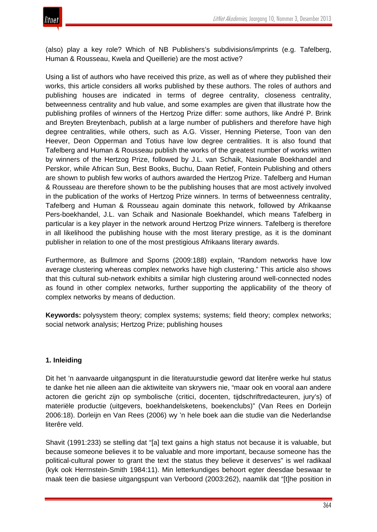

(also) play a key role? Which of NB Publishers's subdivisions/imprints (e.g. Tafelberg, Human & Rousseau, Kwela and Queillerie) are the most active?

Using a list of authors who have received this prize, as well as of where they published their works, this article considers all works published by these authors. The roles of authors and publishing houses are indicated in terms of degree centrality, closeness centrality, betweenness centrality and hub value, and some examples are given that illustrate how the publishing profiles of winners of the Hertzog Prize differ: some authors, like André P. Brink and Breyten Breytenbach, publish at a large number of publishers and therefore have high degree centralities, while others, such as A.G. Visser, Henning Pieterse, Toon van den Heever, Deon Opperman and Totius have low degree centralities. It is also found that Tafelberg and Human & Rousseau publish the works of the greatest number of works written by winners of the Hertzog Prize, followed by J.L. van Schaik, Nasionale Boekhandel and Perskor, while African Sun, Best Books, Buchu, Daan Retief, Fontein Publishing and others are shown to publish few works of authors awarded the Hertzog Prize. Tafelberg and Human & Rousseau are therefore shown to be the publishing houses that are most actively involved in the publication of the works of Hertzog Prize winners. In terms of betweenness centrality, Tafelberg and Human & Rousseau again dominate this network, followed by Afrikaanse Pers-boekhandel, J.L. van Schaik and Nasionale Boekhandel, which means Tafelberg in particular is a key player in the network around Hertzog Prize winners. Tafelberg is therefore in all likelihood the publishing house with the most literary prestige, as it is the dominant publisher in relation to one of the most prestigious Afrikaans literary awards.

Furthermore, as Bullmore and Sporns (2009:188) explain, "Random networks have low average clustering whereas complex networks have high clustering." This article also shows that this cultural sub-network exhibits a similar high clustering around well-connected nodes as found in other complex networks, further supporting the applicability of the theory of complex networks by means of deduction.

**Keywords:** polysystem theory; complex systems; systems; field theory; complex networks; social network analysis; Hertzog Prize; publishing houses

# **1. Inleiding**

Dit het 'n aanvaarde uitgangspunt in die literatuurstudie geword dat literêre werke hul status te danke het nie alleen aan die aktiwiteite van skrywers nie, "maar ook en vooral aan andere actoren die gericht zijn op symbolische (critici, docenten, tijdschriftredacteuren, jury's) of materiële productie (uitgevers, boekhandelsketens, boekenclubs)" (Van Rees en Dorleijn 2006:18). Dorleijn en Van Rees (2006) wy 'n hele boek aan die studie van die Nederlandse literêre veld.

Shavit (1991:233) se stelling dat "[a] text gains a high status not because it is valuable, but because someone believes it to be valuable and more important, because someone has the political-cultural power to grant the text the status they believe it deserves" is wel radikaal (kyk ook Herrnstein-Smith 1984:11). Min letterkundiges behoort egter deesdae beswaar te maak teen die basiese uitgangspunt van Verboord (2003:262), naamlik dat "[t]he position in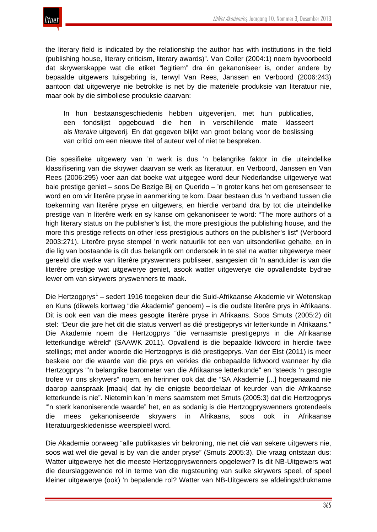

the literary field is indicated by the relationship the author has with institutions in the field (publishing house, literary criticism, literary awards)". Van Coller (2004:1) noem byvoorbeeld dat skrywerskappe wat die etiket "legitiem" dra én gekanoniseer is, onder andere by bepaalde uitgewers tuisgebring is, terwyl Van Rees, Janssen en Verboord (2006:243) aantoon dat uitgewerye nie betrokke is net by die materiële produksie van literatuur nie, maar ook by die simboliese produksie daarvan:

In hun bestaansgeschiedenis hebben uitgeverijen, met hun publicaties, een fondslijst opgebouwd die hen in verschillende mate klasseert als *literaire* uitgeverij. En dat gegeven blijkt van groot belang voor de beslissing van critici om een nieuwe titel of auteur wel of niet te bespreken.

Die spesifieke uitgewery van 'n werk is dus 'n belangrike faktor in die uiteindelike klassifisering van die skrywer daarvan se werk as literatuur, en Verboord, Janssen en Van Rees (2006:295) voer aan dat boeke wat uitgegee word deur Nederlandse uitgewerye wat baie prestige geniet – soos De Bezige Bij en Querido – 'n groter kans het om geresenseer te word en om vir literêre pryse in aanmerking te kom. Daar bestaan dus 'n verband tussen die toekenning van literêre pryse en uitgewers, en hierdie verband dra by tot die uiteindelike prestige van 'n literêre werk en sy kanse om gekanoniseer te word: "The more authors of a high literary status on the publisher's list, the more prestigious the publishing house, and the more this prestige reflects on other less prestigious authors on the publisher's list" (Verboord 2003:271). Literêre pryse stempel 'n werk natuurlik tot een van uitsonderlike gehalte, en in die lig van bostaande is dit dus belangrik om ondersoek in te stel na watter uitgewerye meer gereeld die werke van literêre pryswenners publiseer, aangesien dit 'n aanduider is van die literêre prestige wat uitgewerye geniet, asook watter uitgewerye die opvallendste bydrae lewer om van skrywers pryswenners te maak.

Die Hertzogprys<sup>1</sup> – sedert 1916 toegeken deur die Suid-Afrikaanse Akademie vir Wetenskap en Kuns (dikwels kortweg "die Akademie" genoem) – is die oudste literêre prys in Afrikaans. Dit is ook een van die mees gesogte literêre pryse in Afrikaans. Soos Smuts (2005:2) dit stel: "Deur die jare het dit die status verwerf as dié prestigeprys vir letterkunde in Afrikaans." Die Akademie noem die Hertzogprys "die vernaamste prestigeprys in die Afrikaanse letterkundige wêreld" (SAAWK 2011). Opvallend is die bepaalde lidwoord in hierdie twee stellings; met ander woorde die Hertzogprys is dié prestigeprys. Van der Elst (2011) is meer beskeie oor die waarde van die prys en verkies die onbepaalde lidwoord wanneer hy die Hertzogprys "'n belangrike barometer van die Afrikaanse letterkunde" en "steeds 'n gesogte trofee vir ons skrywers" noem, en herinner ook dat die "SA Akademie [...] hoegenaamd nie daarop aanspraak [maak] dat hy die enigste beoordelaar of keurder van die Afrikaanse letterkunde is nie". Nietemin kan 'n mens saamstem met Smuts (2005:3) dat die Hertzogprys "'n sterk kanoniserende waarde" het, en as sodanig is die Hertzogpryswenners grotendeels die mees gekanoniseerde skrywers in Afrikaans, soos ook in Afrikaanse literatuurgeskiedenisse weerspieël word.

Die Akademie oorweeg "alle publikasies vir bekroning, nie net dié van sekere uitgewers nie, soos wat wel die geval is by van die ander pryse" (Smuts 2005:3). Die vraag ontstaan dus: Watter uitgewerye het die meeste Hertzogpryswenners opgelewer? Is dit NB-Uitgewers wat die deurslaggewende rol in terme van die rugsteuning van sulke skrywers speel, of speel kleiner uitgewerye (ook) 'n bepalende rol? Watter van NB-Uitgewers se afdelings/drukname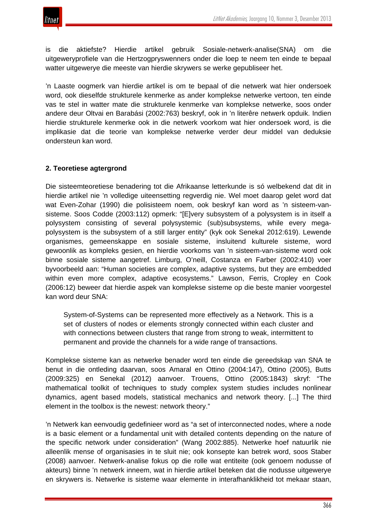

is die aktiefste? Hierdie artikel gebruik Sosiale-netwerk-analise(SNA) om die uitgeweryprofiele van die Hertzogpryswenners onder die loep te neem ten einde te bepaal watter uitgewerye die meeste van hierdie skrywers se werke gepubliseer het.

'n Laaste oogmerk van hierdie artikel is om te bepaal of die netwerk wat hier ondersoek word, ook dieselfde strukturele kenmerke as ander komplekse netwerke vertoon, ten einde vas te stel in watter mate die strukturele kenmerke van komplekse netwerke, soos onder andere deur Oltvai en Barabási (2002:763) beskryf, ook in 'n literêre netwerk opduik. Indien hierdie strukturele kenmerke ook in die netwerk voorkom wat hier ondersoek word, is die implikasie dat die teorie van komplekse netwerke verder deur middel van deduksie ondersteun kan word.

# **2. Teoretiese agtergrond**

Die sisteemteoretiese benadering tot die Afrikaanse letterkunde is só welbekend dat dit in hierdie artikel nie 'n volledige uiteensetting regverdig nie. Wel moet daarop gelet word dat wat Even-Zohar (1990) die polisisteem noem, ook beskryf kan word as 'n sisteem-vansisteme. Soos Codde (2003:112) opmerk: "[E]very subsystem of a polysystem is in itself a polysystem consisting of several polysystemic (sub)subsystems, while every megapolysystem is the subsystem of a still larger entity" (kyk ook Senekal 2012:619). Lewende organismes, gemeenskappe en sosiale sisteme, insluitend kulturele sisteme, word gewoonlik as kompleks gesien, en hierdie voorkoms van 'n sisteem-van-sisteme word ook binne sosiale sisteme aangetref. Limburg, O'neill, Costanza en Farber (2002:410) voer byvoorbeeld aan: "Human societies are complex, adaptive systems, but they are embedded within even more complex, adaptive ecosystems." Lawson, Ferris, Cropley en Cook (2006:12) beweer dat hierdie aspek van komplekse sisteme op die beste manier voorgestel kan word deur SNA:

System-of-Systems can be represented more effectively as a Network. This is a set of clusters of nodes or elements strongly connected within each cluster and with connections between clusters that range from strong to weak, intermittent to permanent and provide the channels for a wide range of transactions.

Komplekse sisteme kan as netwerke benader word ten einde die gereedskap van SNA te benut in die ontleding daarvan, soos Amaral en Ottino (2004:147), Ottino (2005), Butts (2009:325) en Senekal (2012) aanvoer. Trouens, Ottino (2005:1843) skryf: "The mathematical toolkit of techniques to study complex system studies includes nonlinear dynamics, agent based models, statistical mechanics and network theory. [...] The third element in the toolbox is the newest: network theory."

'n Netwerk kan eenvoudig gedefinieer word as "a set of interconnected nodes, where a node is a basic element or a fundamental unit with detailed contents depending on the nature of the specific network under consideration" (Wang 2002:885). Netwerke hoef natuurlik nie alleenlik mense of organisasies in te sluit nie; ook konsepte kan betrek word, soos Staber (2008) aanvoer. Netwerk-analise fokus op die rolle wat entiteite (ook genoem nodusse of akteurs) binne 'n netwerk inneem, wat in hierdie artikel beteken dat die nodusse uitgewerye en skrywers is. Netwerke is sisteme waar elemente in interafhanklikheid tot mekaar staan,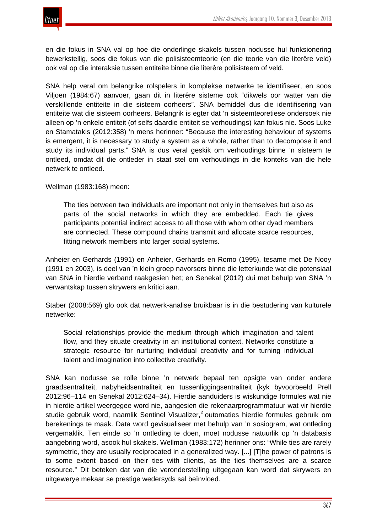

en die fokus in SNA val op hoe die onderlinge skakels tussen nodusse hul funksionering bewerkstellig, soos die fokus van die polisisteemteorie (en die teorie van die literêre veld) ook val op die interaksie tussen entiteite binne die literêre polisisteem of veld.

SNA help veral om belangrike rolspelers in komplekse netwerke te identifiseer, en soos Viljoen (1984:67) aanvoer, gaan dit in literêre sisteme ook "dikwels oor watter van die verskillende entiteite in die sisteem oorheers". SNA bemiddel dus die identifisering van entiteite wat die sisteem oorheers. Belangrik is egter dat 'n sisteemteoretiese ondersoek nie alleen op 'n enkele entiteit (of selfs daardie entiteit se verhoudings) kan fokus nie. Soos Luke en Stamatakis (2012:358) 'n mens herinner: "Because the interesting behaviour of systems is emergent, it is necessary to study a system as a whole, rather than to decompose it and study its individual parts." SNA is dus veral geskik om verhoudings binne 'n sisteem te ontleed, omdat dit die ontleder in staat stel om verhoudings in die konteks van die hele netwerk te ontleed.

Wellman (1983:168) meen:

The ties between two individuals are important not only in themselves but also as parts of the social networks in which they are embedded. Each tie gives participants potential indirect access to all those with whom other dyad members are connected. These compound chains transmit and allocate scarce resources, fitting network members into larger social systems.

Anheier en Gerhards (1991) en Anheier, Gerhards en Romo (1995), tesame met De Nooy (1991 en 2003), is deel van 'n klein groep navorsers binne die letterkunde wat die potensiaal van SNA in hierdie verband raakgesien het; en Senekal (2012) dui met behulp van SNA 'n verwantskap tussen skrywers en kritici aan.

Staber (2008:569) glo ook dat netwerk-analise bruikbaar is in die bestudering van kulturele netwerke:

Social relationships provide the medium through which imagination and talent flow, and they situate creativity in an institutional context. Networks constitute a strategic resource for nurturing individual creativity and for turning individual talent and imagination into collective creativity.

SNA kan nodusse se rolle binne 'n netwerk bepaal ten opsigte van onder andere graadsentraliteit, nabyheidsentraliteit en tussenliggingsentraliteit (kyk byvoorbeeld Prell 2012:96–114 en Senekal 2012:624–34). Hierdie aanduiders is wiskundige formules wat nie in hierdie artikel weergegee word nie, aangesien die rekenaarprogrammatuur wat vir hierdie studie gebruik word, naamlik Sentinel Visualizer,<sup>2</sup> outomaties hierdie formules gebruik om berekenings te maak. Data word gevisualiseer met behulp van 'n sosiogram, wat ontleding vergemaklik. Ten einde so 'n ontleding te doen, moet nodusse natuurlik op 'n databasis aangebring word, asook hul skakels. Wellman (1983:172) herinner ons: "While ties are rarely symmetric, they are usually reciprocated in a generalized way. [...] [T]he power of patrons is to some extent based on their ties with clients, as the ties themselves are a scarce resource." Dit beteken dat van die veronderstelling uitgegaan kan word dat skrywers en uitgewerye mekaar se prestige wedersyds sal beïnvloed.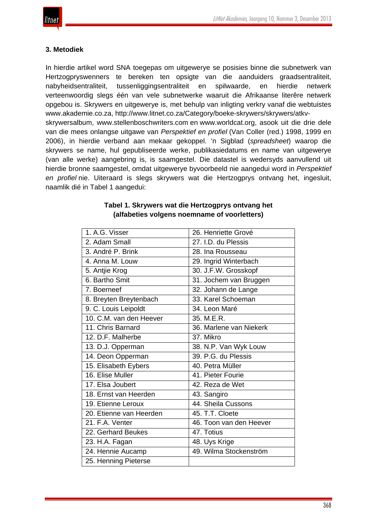

#### **3. Metodiek**

In hierdie artikel word SNA toegepas om uitgewerye se posisies binne die subnetwerk van Hertzogpryswenners te bereken ten opsigte van die aanduiders graadsentraliteit, nabyheidsentraliteit, tussenliggingsentraliteit en spilwaarde, en hierdie netwerk verteenwoordig slegs één van vele subnetwerke waaruit die Afrikaanse literêre netwerk opgebou is. Skrywers en uitgewerye is, met behulp van inligting verkry vanaf die webtuistes www.akademie.co.za, http://www.litnet.co.za/Category/boeke-skrywers/skrywers/atkvskrywersalbum, www.stellenboschwriters.com en www.worldcat.org, asook uit die drie dele

van die mees onlangse uitgawe van *Perspektief en profiel* (Van Coller (red.) 1998, 1999 en 2006), in hierdie verband aan mekaar gekoppel. 'n Sigblad (*spreadsheet*) waarop die skrywers se name, hul gepubliseerde werke, publikasiedatums en name van uitgewerye (van alle werke) aangebring is, is saamgestel. Die datastel is wedersyds aanvullend uit hierdie bronne saamgestel, omdat uitgewerye byvoorbeeld nie aangedui word in *Perspektief en profiel* nie. Uiteraard is slegs skrywers wat die Hertzogprys ontvang het, ingesluit, naamlik dié in Tabel 1 aangedui:

| 1. A.G. Visser          | 26. Henriette Grové     |
|-------------------------|-------------------------|
| 2. Adam Small           | 27. I.D. du Plessis     |
| 3. André P. Brink       | 28. Ina Rousseau        |
| 4. Anna M. Louw         | 29. Ingrid Winterbach   |
| 5. Antjie Krog          | 30. J.F.W. Grosskopf    |
| 6. Bartho Smit          | 31. Jochem van Bruggen  |
| 7. Boerneef             | 32. Johann de Lange     |
| 8. Breyten Breytenbach  | 33. Karel Schoeman      |
| 9. C. Louis Leipoldt    | 34. Leon Maré           |
| 10. C.M. van den Heever | 35. M.E.R.              |
| 11. Chris Barnard       | 36. Marlene van Niekerk |
| 12. D.F. Malherbe       | 37. Mikro               |
| 13. D.J. Opperman       | 38. N.P. Van Wyk Louw   |
| 14. Deon Opperman       | 39. P.G. du Plessis     |
| 15. Elisabeth Eybers    | 40. Petra Müller        |
| 16. Elise Muller        | 41. Pieter Fourie       |
| 17. Elsa Joubert        | 42. Reza de Wet         |
| 18. Ernst van Heerden   | 43. Sangiro             |
| 19. Etienne Leroux      | 44. Sheila Cussons      |
| 20. Etienne van Heerden | 45. T.T. Cloete         |
| 21. F.A. Venter         | 46. Toon van den Heever |
| 22. Gerhard Beukes      | 47. Totius              |
| 23. H.A. Fagan          | 48. Uys Krige           |
| 24. Hennie Aucamp       | 49. Wilma Stockenström  |
| 25. Henning Pieterse    |                         |

#### **Tabel 1. Skrywers wat die Hertzogprys ontvang het (alfabeties volgens noemname of voorletters)**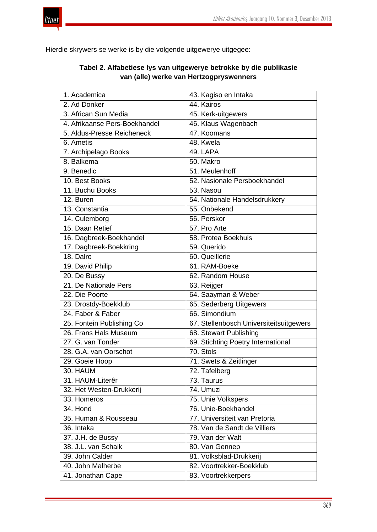



Hierdie skrywers se werke is by die volgende uitgewerye uitgegee:

| 1. Academica                  | 43. Kagiso en Intaka                    |
|-------------------------------|-----------------------------------------|
| 2. Ad Donker                  | 44. Kairos                              |
| 3. African Sun Media          | 45. Kerk-uitgewers                      |
| 4. Afrikaanse Pers-Boekhandel | 46. Klaus Wagenbach                     |
| 5. Aldus-Presse Reicheneck    | 47. Koomans                             |
| 6. Ametis                     | 48. Kwela                               |
| 7. Archipelago Books          | 49. LAPA                                |
| 8. Balkema                    | 50. Makro                               |
| 9. Benedic                    | 51. Meulenhoff                          |
| 10. Best Books                | 52. Nasionale Persboekhandel            |
| 11. Buchu Books               | 53. Nasou                               |
| 12. Buren                     | 54. Nationale Handelsdrukkery           |
| 13. Constantia                | 55. Onbekend                            |
| 14. Culemborg                 | 56. Perskor                             |
| 15. Daan Retief               | 57. Pro Arte                            |
| 16. Dagbreek-Boekhandel       | 58. Protea Boekhuis                     |
| 17. Dagbreek-Boekkring        | 59. Querido                             |
| 18. Dalro                     | 60. Queillerie                          |
| 19. David Philip              | 61. RAM-Boeke                           |
| 20. De Bussy                  | 62. Random House                        |
| 21. De Nationale Pers         | 63. Reijger                             |
| 22. Die Poorte                | 64. Saayman & Weber                     |
| 23. Drostdy-Boekklub          | 65. Sederberg Uitgewers                 |
| 24. Faber & Faber             | 66. Simondium                           |
| 25. Fontein Publishing Co     | 67. Stellenbosch Universiteitsuitgewers |
| 26. Frans Hals Museum         | 68. Stewart Publishing                  |
| 27. G. van Tonder             | 69. Stichting Poetry International      |
| 28. G.A. van Oorschot         | 70. Stols                               |
| 29. Goeie Hoop                | 71. Swets & Zeitlinger                  |
| 30. HAUM                      | 72. Tafelberg                           |
| 31. HAUM-Literêr              | 73. Taurus                              |
| 32. Het Westen-Drukkerij      | 74. Umuzi                               |
| 33. Homeros                   | 75. Unie Volkspers                      |
| 34. Hond                      | 76. Unie-Boekhandel                     |
| 35. Human & Rousseau          | 77. Universiteit van Pretoria           |
| 36. Intaka                    | 78. Van de Sandt de Villiers            |
| 37. J.H. de Bussy             | 79. Van der Walt                        |
| 38. J.L. van Schaik           | 80. Van Gennep                          |
| 39. John Calder               | 81. Volksblad-Drukkerij                 |
| 40. John Malherbe             | 82. Voortrekker-Boekklub                |
| 41. Jonathan Cape             | 83. Voortrekkerpers                     |

# **Tabel 2. Alfabetiese lys van uitgewerye betrokke by die publikasie van (alle) werke van Hertzogpryswenners**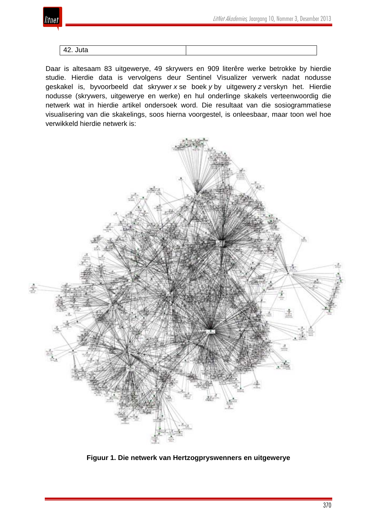

#### 42. Juta

Daar is altesaam 83 uitgewerye, 49 skrywers en 909 literêre werke betrokke by hierdie studie. Hierdie data is vervolgens deur Sentinel Visualizer verwerk nadat nodusse geskakel is, byvoorbeeld dat skrywer *x* se boek *y* by uitgewery *z* verskyn het. Hierdie nodusse (skrywers, uitgewerye en werke) en hul onderlinge skakels verteenwoordig die netwerk wat in hierdie artikel ondersoek word. Die resultaat van die sosiogrammatiese visualisering van die skakelings, soos hierna voorgestel, is onleesbaar, maar toon wel hoe verwikkeld hierdie netwerk is:



**Figuur 1. Die netwerk van Hertzogpryswenners en uitgewerye**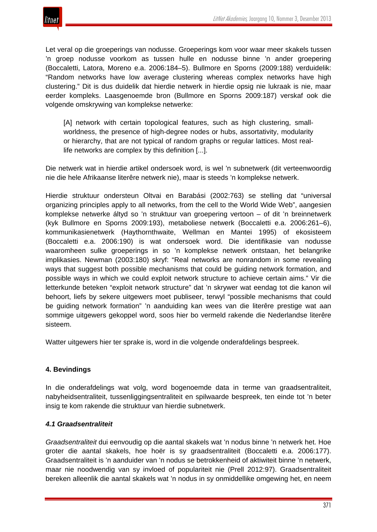

Let veral op die groeperings van nodusse. Groeperings kom voor waar meer skakels tussen 'n groep nodusse voorkom as tussen hulle en nodusse binne 'n ander groepering (Boccaletti, Latora, Moreno e.a. 2006:184–5). Bullmore en Sporns (2009:188) verduidelik: "Random networks have low average clustering whereas complex networks have high clustering." Dit is dus duidelik dat hierdie netwerk in hierdie opsig nie lukraak is nie, maar eerder kompleks. Laasgenoemde bron (Bullmore en Sporns 2009:187) verskaf ook die volgende omskrywing van komplekse netwerke:

[A] network with certain topological features, such as high clustering, smallworldness, the presence of high-degree nodes or hubs, assortativity, modularity or hierarchy, that are not typical of random graphs or regular lattices. Most reallife networks are complex by this definition [...].

Die netwerk wat in hierdie artikel ondersoek word, is wel 'n subnetwerk (dit verteenwoordig nie die hele Afrikaanse literêre netwerk nie), maar is steeds 'n komplekse netwerk.

Hierdie struktuur ondersteun Oltvai en Barabási (2002:763) se stelling dat "universal organizing principles apply to all networks, from the cell to the World Wide Web", aangesien komplekse netwerke áltyd so 'n struktuur van groepering vertoon – of dit 'n breinnetwerk (kyk Bullmore en Sporns 2009:193), metaboliese netwerk (Boccaletti e.a. 2006:261–6), kommunikasienetwerk (Haythornthwaite, Wellman en Mantei 1995) of ekosisteem (Boccaletti e.a. 2006:190) is wat ondersoek word. Die identifikasie van nodusse waaromheen sulke groeperings in so 'n komplekse netwerk ontstaan, het belangrike implikasies. Newman (2003:180) skryf: "Real networks are nonrandom in some revealing ways that suggest both possible mechanisms that could be guiding network formation, and possible ways in which we could exploit network structure to achieve certain aims." Vir die letterkunde beteken "exploit network structure" dat 'n skrywer wat eendag tot die kanon wil behoort, liefs by sekere uitgewers moet publiseer, terwyl "possible mechanisms that could be guiding network formation" 'n aanduiding kan wees van die literêre prestige wat aan sommige uitgewers gekoppel word, soos hier bo vermeld rakende die Nederlandse literêre sisteem.

Watter uitgewers hier ter sprake is, word in die volgende onderafdelings bespreek.

#### **4. Bevindings**

In die onderafdelings wat volg, word bogenoemde data in terme van graadsentraliteit, nabyheidsentraliteit, tussenliggingsentraliteit en spilwaarde bespreek, ten einde tot 'n beter insig te kom rakende die struktuur van hierdie subnetwerk.

#### *4.1 Graadsentraliteit*

*Graadsentraliteit* dui eenvoudig op die aantal skakels wat 'n nodus binne 'n netwerk het. Hoe groter die aantal skakels, hoe hoër is sy graadsentraliteit (Boccaletti e.a. 2006:177). Graadsentraliteit is 'n aanduider van 'n nodus se betrokkenheid of aktiwiteit binne 'n netwerk, maar nie noodwendig van sy invloed of populariteit nie (Prell 2012:97). Graadsentraliteit bereken alleenlik die aantal skakels wat 'n nodus in sy onmiddellike omgewing het, en neem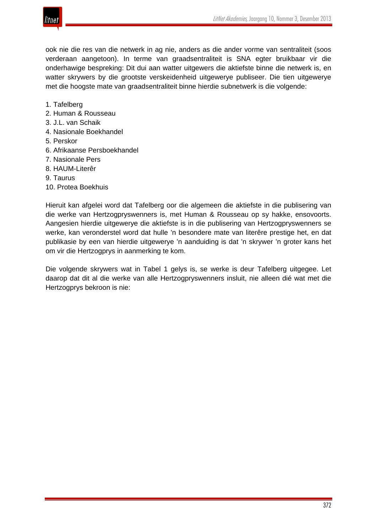

ook nie die res van die netwerk in ag nie, anders as die ander vorme van sentraliteit (soos verderaan aangetoon). In terme van graadsentraliteit is SNA egter bruikbaar vir die onderhawige bespreking: Dit dui aan watter uitgewers die aktiefste binne die netwerk is, en watter skrywers by die grootste verskeidenheid uitgewerye publiseer. Die tien uitgewerye met die hoogste mate van graadsentraliteit binne hierdie subnetwerk is die volgende:

- 1. Tafelberg
- 2. Human & Rousseau
- 3. J.L. van Schaik
- 4. Nasionale Boekhandel
- 5. Perskor
- 6. Afrikaanse Persboekhandel
- 7. Nasionale Pers
- 8. HAUM-Literêr
- 9. Taurus
- 10. Protea Boekhuis

Hieruit kan afgelei word dat Tafelberg oor die algemeen die aktiefste in die publisering van die werke van Hertzogpryswenners is, met Human & Rousseau op sy hakke, ensovoorts. Aangesien hierdie uitgewerye die aktiefste is in die publisering van Hertzogpryswenners se werke, kan veronderstel word dat hulle 'n besondere mate van literêre prestige het, en dat publikasie by een van hierdie uitgewerye 'n aanduiding is dat 'n skrywer 'n groter kans het om vir die Hertzogprys in aanmerking te kom.

Die volgende skrywers wat in Tabel 1 gelys is, se werke is deur Tafelberg uitgegee. Let daarop dat dit al die werke van alle Hertzogpryswenners insluit, nie alleen dié wat met die Hertzogprys bekroon is nie: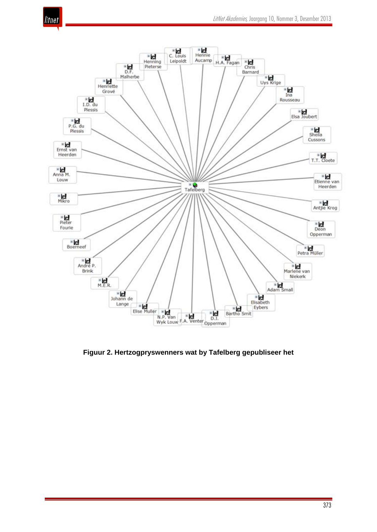



**Figuur 2. Hertzogpryswenners wat by Tafelberg gepubliseer het**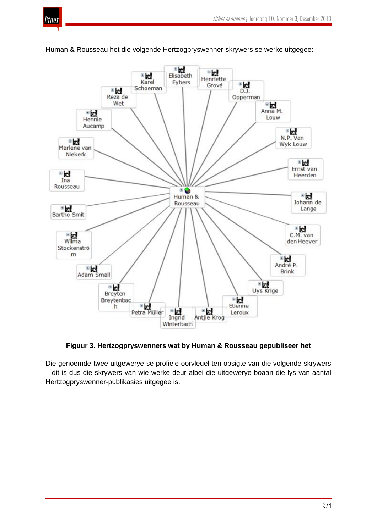



Human & Rousseau het die volgende Hertzogpryswenner-skrywers se werke uitgegee:

**Figuur 3. Hertzogpryswenners wat by Human & Rousseau gepubliseer het**

Die genoemde twee uitgewerye se profiele oorvleuel ten opsigte van die volgende skrywers – dit is dus die skrywers van wie werke deur albei die uitgewerye boaan die lys van aantal Hertzogpryswenner-publikasies uitgegee is.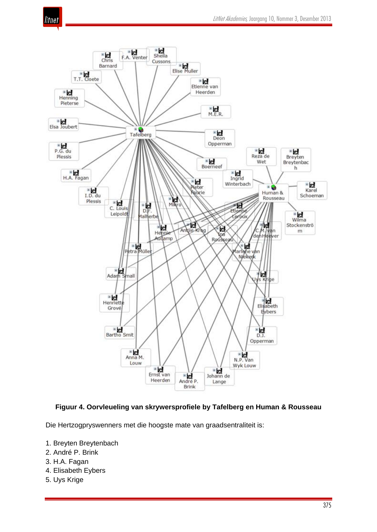



# **Figuur 4. Oorvleueling van skrywersprofiele by Tafelberg en Human & Rousseau**

Die Hertzogpryswenners met die hoogste mate van graadsentraliteit is:

- 1. Breyten Breytenbach
- 2. André P. Brink
- 3. H.A. Fagan
- 4. Elisabeth Eybers
- 5. Uys Krige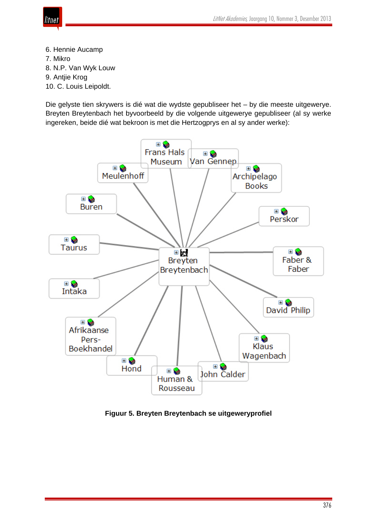

6. Hennie Aucamp 7. Mikro 8. N.P. Van Wyk Louw 9. Antjie Krog 10. C. Louis Leipoldt.

Die gelyste tien skrywers is dié wat die wydste gepubliseer het – by die meeste uitgewerye. Breyten Breytenbach het byvoorbeeld by die volgende uitgewerye gepubliseer (al sy werke ingereken, beide dié wat bekroon is met die Hertzogprys en al sy ander werke):



**Figuur 5. Breyten Breytenbach se uitgeweryprofiel**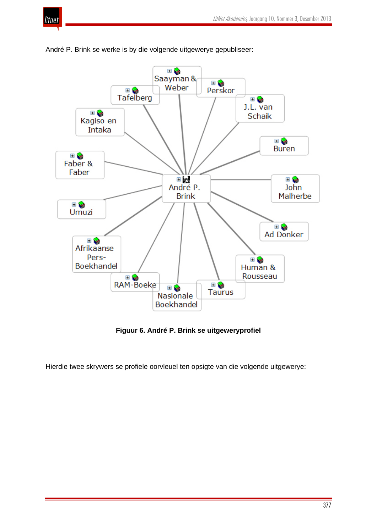



André P. Brink se werke is by die volgende uitgewerye gepubliseer:

**Figuur 6. André P. Brink se uitgeweryprofiel**

Hierdie twee skrywers se profiele oorvleuel ten opsigte van die volgende uitgewerye: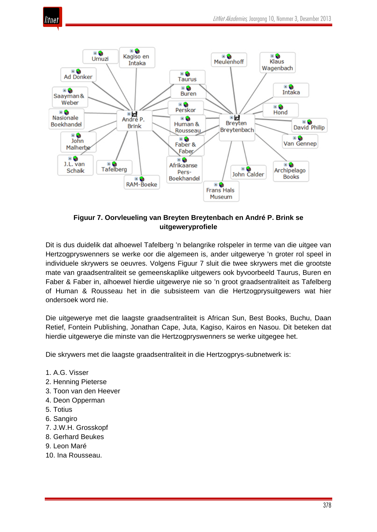

# **Figuur 7. Oorvleueling van Breyten Breytenbach en André P. Brink se uitgeweryprofiele**

Dit is dus duidelik dat alhoewel Tafelberg 'n belangrike rolspeler in terme van die uitgee van Hertzogpryswenners se werke oor die algemeen is, ander uitgewerye 'n groter rol speel in individuele skrywers se oeuvres. Volgens Figuur 7 sluit die twee skrywers met die grootste mate van graadsentraliteit se gemeenskaplike uitgewers ook byvoorbeeld Taurus, Buren en Faber & Faber in, alhoewel hierdie uitgewerye nie so 'n groot graadsentraliteit as Tafelberg of Human & Rousseau het in die subsisteem van die Hertzogprysuitgewers wat hier ondersoek word nie.

Die uitgewerye met die laagste graadsentraliteit is African Sun, Best Books, Buchu, Daan Retief, Fontein Publishing, Jonathan Cape, Juta, Kagiso, Kairos en Nasou. Dit beteken dat hierdie uitgewerye die minste van die Hertzogpryswenners se werke uitgegee het.

Die skrywers met die laagste graadsentraliteit in die Hertzogprys-subnetwerk is:

- 1. A.G. Visser
- 2. Henning Pieterse
- 3. Toon van den Heever
- 4. Deon Opperman
- 5. Totius
- 6. Sangiro
- 7. J.W.H. Grosskopf
- 8. Gerhard Beukes
- 9. Leon Maré
- 10. Ina Rousseau.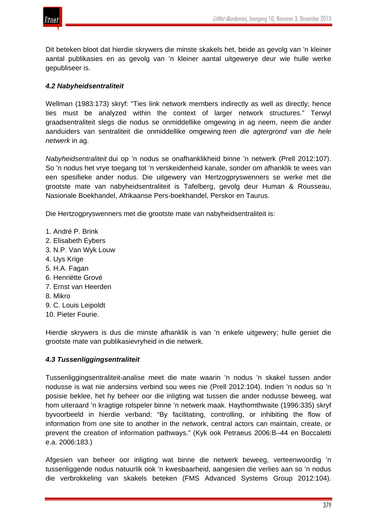

Dit beteken bloot dat hierdie skrywers die minste skakels het, beide as gevolg van 'n kleiner aantal publikasies en as gevolg van 'n kleiner aantal uitgewerye deur wie hulle werke gepubliseer is.

#### *4.2 Nabyheidsentraliteit*

Wellman (1983:173) skryf: "Ties link network members indirectly as well as directly; hence ties must be analyzed within the context of larger network structures." Terwyl graadsentraliteit slegs die nodus se onmiddellike omgewing in ag neem, neem die ander aanduiders van sentraliteit die onmiddellike omgewing *teen die agtergrond van die hele netwerk* in ag.

*Nabyheidsentraliteit* dui op 'n nodus se onafhanklikheid binne 'n netwerk (Prell 2012:107). So 'n nodus het vrye toegang tot 'n verskeidenheid kanale, sonder om afhanklik te wees van een spesifieke ander nodus. Die uitgewery van Hertzogpryswenners se werke met die grootste mate van nabyheidsentraliteit is Tafelberg, gevolg deur Human & Rousseau, Nasionale Boekhandel, Afrikaanse Pers-boekhandel, Perskor en Taurus.

Die Hertzogpryswenners met die grootste mate van nabyheidsentraliteit is:

- 1. André P. Brink
- 2. Elisabeth Eybers
- 3. N.P. Van Wyk Louw
- 4. Uys Krige
- 5. H.A. Fagan
- 6. Henriëtte Grové
- 7. Ernst van Heerden
- 8. Mikro
- 9. C. Louis Leipoldt
- 10. Pieter Fourie.

Hierdie skrywers is dus die minste afhanklik is van 'n enkele uitgewery; hulle geniet die grootste mate van publikasievryheid in die netwerk.

#### *4.3 Tussenliggingsentraliteit*

Tussenliggingsentraliteit-analise meet die mate waarin 'n nodus 'n skakel tussen ander nodusse is wat nie andersins verbind sou wees nie (Prell 2012:104). Indien 'n nodus so 'n posisie beklee, het hy beheer oor die inligting wat tussen die ander nodusse beweeg, wat hom uiteraard 'n kragtige rolspeler binne 'n netwerk maak. Haythomthwaite (1996:335) skryf byvoorbeeld in hierdie verband: "By facilitating, controlling, or inhibiting the flow of information from one site to another in the network, central actors can maintain, create, or prevent the creation of information pathways." (Kyk ook Petraeus 2006:B–44 en Boccaletti e.a. 2006:183.)

Afgesien van beheer oor inligting wat binne die netwerk beweeg, verteenwoordig 'n tussenliggende nodus natuurlik ook 'n kwesbaarheid, aangesien die verlies aan so 'n nodus die verbrokkeling van skakels beteken (FMS Advanced Systems Group 2012:104).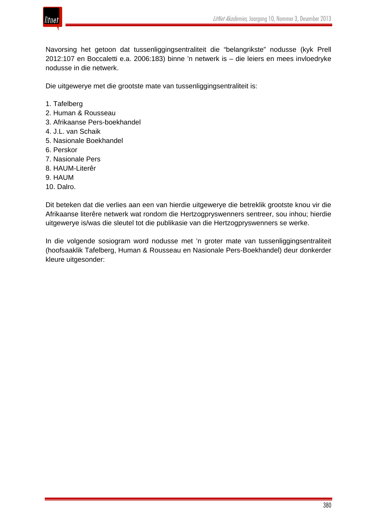

Navorsing het getoon dat tussenliggingsentraliteit die "belangrikste" nodusse (kyk Prell 2012:107 en Boccaletti e.a. 2006:183) binne 'n netwerk is – die leiers en mees invloedryke nodusse in die netwerk.

Die uitgewerye met die grootste mate van tussenliggingsentraliteit is:

- 1. Tafelberg
- 2. Human & Rousseau
- 3. Afrikaanse Pers-boekhandel
- 4. J.L. van Schaik
- 5. Nasionale Boekhandel
- 6. Perskor
- 7. Nasionale Pers
- 8. HAUM-Literêr
- 9. HAUM
- 10. Dalro.

Dit beteken dat die verlies aan een van hierdie uitgewerye die betreklik grootste knou vir die Afrikaanse literêre netwerk wat rondom die Hertzogpryswenners sentreer, sou inhou; hierdie uitgewerye is/was die sleutel tot die publikasie van die Hertzogpryswenners se werke.

In die volgende sosiogram word nodusse met 'n groter mate van tussenliggingsentraliteit (hoofsaaklik Tafelberg, Human & Rousseau en Nasionale Pers-Boekhandel) deur donkerder kleure uitgesonder: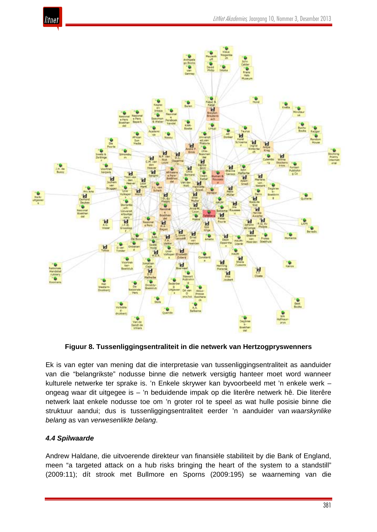



**Figuur 8. Tussenliggingsentraliteit in die netwerk van Hertzogpryswenners**

Ek is van egter van mening dat die interpretasie van tussenliggingsentraliteit as aanduider van die "belangrikste" nodusse binne die netwerk versigtig hanteer moet word wanneer kulturele netwerke ter sprake is. 'n Enkele skrywer kan byvoorbeeld met 'n enkele werk – ongeag waar dit uitgegee is – 'n beduidende impak op die literêre netwerk hê. Die literêre netwerk laat enkele nodusse toe om 'n groter rol te speel as wat hulle posisie binne die struktuur aandui; dus is tussenliggingsentraliteit eerder 'n aanduider van *waarskynlike belang* as van *verwesenlikte belang*.

# *4.4 Spilwaarde*

Andrew Haldane, die uitvoerende direkteur van finansiële stabiliteit by die Bank of England, meen "a targeted attack on a hub risks bringing the heart of the system to a standstill" (2009:11); dít strook met Bullmore en Sporns (2009:195) se waarneming van die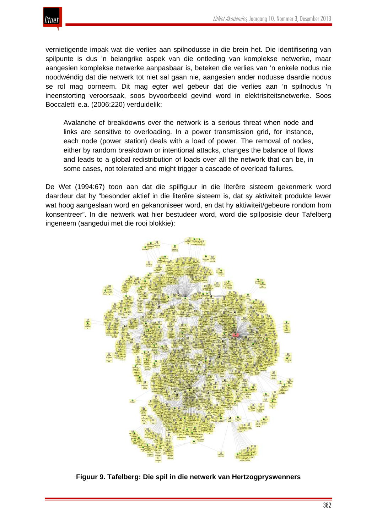vernietigende impak wat die verlies aan spilnodusse in die brein het. Die identifisering van spilpunte is dus 'n belangrike aspek van die ontleding van komplekse netwerke, maar aangesien komplekse netwerke aanpasbaar is, beteken die verlies van 'n enkele nodus nie noodwéndig dat die netwerk tot niet sal gaan nie, aangesien ander nodusse daardie nodus se rol mag oorneem. Dit mag egter wel gebeur dat die verlies aan 'n spilnodus 'n ineenstorting veroorsaak, soos byvoorbeeld gevind word in elektrisiteitsnetwerke. Soos Boccaletti e.a. (2006:220) verduidelik:

Avalanche of breakdowns over the network is a serious threat when node and links are sensitive to overloading. In a power transmission grid, for instance, each node (power station) deals with a load of power. The removal of nodes, either by random breakdown or intentional attacks, changes the balance of flows and leads to a global redistribution of loads over all the network that can be, in some cases, not tolerated and might trigger a cascade of overload failures.

De Wet (1994:67) toon aan dat die spilfiguur in die literêre sisteem gekenmerk word daardeur dat hy "besonder aktief in die literêre sisteem is, dat sy aktiwiteit produkte lewer wat hoog aangeslaan word en gekanoniseer word, en dat hy aktiwiteit/gebeure rondom hom konsentreer". In die netwerk wat hier bestudeer word, word die spilposisie deur Tafelberg ingeneem (aangedui met die rooi blokkie):



**Figuur 9. Tafelberg: Die spil in die netwerk van Hertzogpryswenners**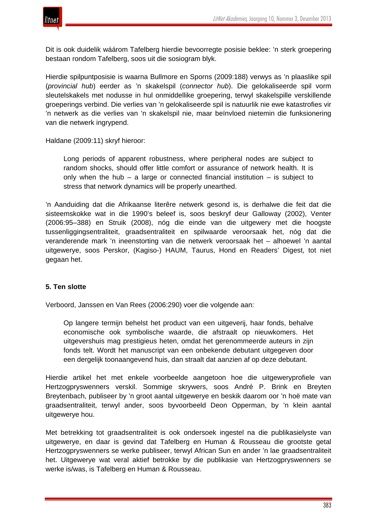

Dit is ook duidelik wáárom Tafelberg hierdie bevoorregte posisie beklee: 'n sterk groepering bestaan rondom Tafelberg, soos uit die sosiogram blyk.

Hierdie spilpuntposisie is waarna Bullmore en Sporns (2009:188) verwys as 'n plaaslike spil (*provincial hub*) eerder as 'n skakelspil (*connector hub*). Die gelokaliseerde spil vorm sleutelskakels met nodusse in hul onmiddellike groepering, terwyl skakelspille verskillende groeperings verbind. Die verlies van 'n gelokaliseerde spil is natuurlik nie ewe katastrofies vir 'n netwerk as die verlies van 'n skakelspil nie, maar beïnvloed nietemin die funksionering van die netwerk ingrypend.

Haldane (2009:11) skryf hieroor:

Long periods of apparent robustness, where peripheral nodes are subject to random shocks, should offer little comfort or assurance of network health. It is only when the hub – a large or connected financial institution – is subject to stress that network dynamics will be properly unearthed.

'n Aanduiding dat die Afrikaanse literêre netwerk gesond is, is derhalwe die feit dat die sisteemskokke wat in die 1990's beleef is, soos beskryf deur Galloway (2002), Venter (2006:95–388) en Struik (2008), nóg die einde van die uitgewery met die hoogste tussenliggingsentraliteit, graadsentraliteit en spilwaarde veroorsaak het, nóg dat die veranderende mark 'n ineenstorting van die netwerk veroorsaak het – alhoewel 'n aantal uitgewerye, soos Perskor, (Kagiso-) HAUM, Taurus, Hond en Readers' Digest, tot niet gegaan het.

#### **5. Ten slotte**

Verboord, Janssen en Van Rees (2006:290) voer die volgende aan:

Op langere termijn behelst het product van een uitgeverij, haar fonds, behalve economische ook symbolische waarde, die afstraalt op nieuwkomers. Het uitgevershuis mag prestigieus heten, omdat het gerenommeerde auteurs in zijn fonds telt. Wordt het manuscript van een onbekende debutant uitgegeven door een dergelijk toonaangevend huis, dan straalt dat aanzien af op deze debutant.

Hierdie artikel het met enkele voorbeelde aangetoon hoe die uitgeweryprofiele van Hertzogpryswenners verskil. Sommige skrywers, soos André P. Brink en Breyten Breytenbach, publiseer by 'n groot aantal uitgewerye en beskik daarom oor 'n hoë mate van graadsentraliteit, terwyl ander, soos byvoorbeeld Deon Opperman, by 'n klein aantal uitgewerye hou.

Met betrekking tot graadsentraliteit is ook ondersoek ingestel na die publikasielyste van uitgewerye, en daar is gevind dat Tafelberg en Human & Rousseau die grootste getal Hertzogpryswenners se werke publiseer, terwyl African Sun en ander 'n lae graadsentraliteit het. Uitgewerye wat veral aktief betrokke by die publikasie van Hertzogpryswenners se werke is/was, is Tafelberg en Human & Rousseau.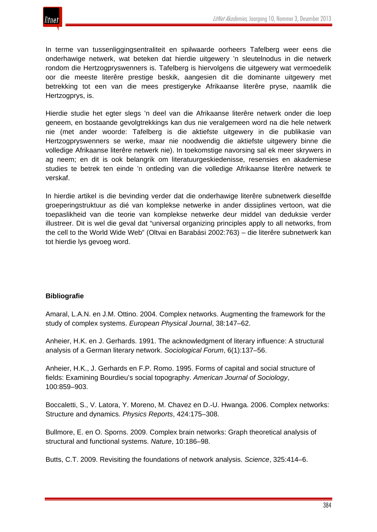

In terme van tussenliggingsentraliteit en spilwaarde oorheers Tafelberg weer eens die onderhawige netwerk, wat beteken dat hierdie uitgewery 'n sleutelnodus in die netwerk rondom die Hertzogpryswenners is. Tafelberg is hiervolgens die uitgewery wat vermoedelik oor die meeste literêre prestige beskik, aangesien dit die dominante uitgewery met betrekking tot een van die mees prestigeryke Afrikaanse literêre pryse, naamlik die Hertzogprys, is.

Hierdie studie het egter slegs 'n deel van die Afrikaanse literêre netwerk onder die loep geneem, en bostaande gevolgtrekkings kan dus nie veralgemeen word na die hele netwerk nie (met ander woorde: Tafelberg is die aktiefste uitgewery in die publikasie van Hertzogpryswenners se werke, maar nie noodwendig die aktiefste uitgewery binne die volledige Afrikaanse literêre netwerk nie). In toekomstige navorsing sal ek meer skrywers in ag neem; en dit is ook belangrik om literatuurgeskiedenisse, resensies en akademiese studies te betrek ten einde 'n ontleding van die volledige Afrikaanse literêre netwerk te verskaf.

In hierdie artikel is die bevinding verder dat die onderhawige literêre subnetwerk dieselfde groeperingstruktuur as dié van komplekse netwerke in ander dissiplines vertoon, wat die toepaslikheid van die teorie van komplekse netwerke deur middel van deduksie verder illustreer. Dit is wel die geval dat "universal organizing principles apply to all networks, from the cell to the World Wide Web" (Oltvai en Barabási 2002:763) – die literêre subnetwerk kan tot hierdie lys gevoeg word.

#### **Bibliografie**

Amaral, L.A.N. en J.M. Ottino. 2004. Complex networks. Augmenting the framework for the study of complex systems. *European Physical Journal*, 38:147–62.

Anheier, H.K. en J. Gerhards. 1991. The acknowledgment of literary influence: A structural analysis of a German literary network. *Sociological Forum*, 6(1):137–56.

Anheier, H.K., J. Gerhards en F.P. Romo. 1995. Forms of capital and social structure of fields: Examining Bourdieu's social topography. *American Journal of Sociology*, 100:859–903.

Boccaletti, S., V. Latora, Y. Moreno, M. Chavez en D.-U. Hwanga. 2006. Complex networks: Structure and dynamics. *Physics Reports*, 424:175–308.

Bullmore, E. en O. Sporns. 2009. Complex brain networks: Graph theoretical analysis of structural and functional systems. *Nature*, 10:186–98.

Butts, C.T. 2009. Revisiting the foundations of network analysis. *Science*, 325:414–6.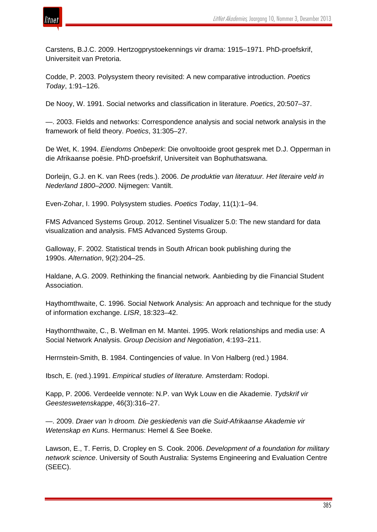



Carstens, B.J.C. 2009. Hertzogprystoekennings vir drama: 1915–1971. PhD-proefskrif, Universiteit van Pretoria.

Codde, P. 2003. Polysystem theory revisited: A new comparative introduction. *Poetics Today*, 1:91–126.

De Nooy, W. 1991. Social networks and classification in literature. *Poetics*, 20:507–37.

—. 2003. Fields and networks: Correspondence analysis and social network analysis in the framework of field theory. *Poetics*, 31:305–27.

De Wet, K. 1994. *Eiendoms Onbeperk*: Die onvoltooide groot gesprek met D.J. Opperman in die Afrikaanse poësie. PhD-proefskrif, Universiteit van Bophuthatswana.

Dorleijn, G.J. en K. van Rees (reds.). 2006. *De produktie van literatuur. Het literaire veld in Nederland 1800–2000*. Nijmegen: Vantilt.

Even-Zohar, I. 1990. Polysystem studies. *Poetics Today*, 11(1):1–94.

FMS Advanced Systems Group. 2012. Sentinel Visualizer 5.0: The new standard for data visualization and analysis. FMS Advanced Systems Group.

Galloway, F. 2002. Statistical trends in South African book publishing during the 1990s. *Alternation*, 9(2):204–25.

Haldane, A.G. 2009. Rethinking the financial network. Aanbieding by die Financial Student Association.

Haythomthwaite, C. 1996. Social Network Analysis: An approach and technique for the study of information exchange. *LISR*, 18:323–42.

Haythornthwaite, C., B. Wellman en M. Mantei. 1995. Work relationships and media use: A Social Network Analysis. *Group Decision and Negotiation*, 4:193–211.

Herrnstein-Smith, B. 1984. Contingencies of value. In Von Halberg (red.) 1984.

Ibsch, E. (red.).1991. *Empirical studies of literature.* Amsterdam: Rodopi.

Kapp, P. 2006. Verdeelde vennote: N.P. van Wyk Louw en die Akademie. *Tydskrif vir Geesteswetenskappe*, 46(3):316–27.

—. 2009. *Draer van 'n droom. Die geskiedenis van die Suid-Afrikaanse Akademie vir Wetenskap en Kuns*. Hermanus: Hemel & See Boeke.

Lawson, E., T. Ferris, D. Cropley en S. Cook. 2006. *Development of a foundation for military network science*. University of South Australia: Systems Engineering and Evaluation Centre (SEEC).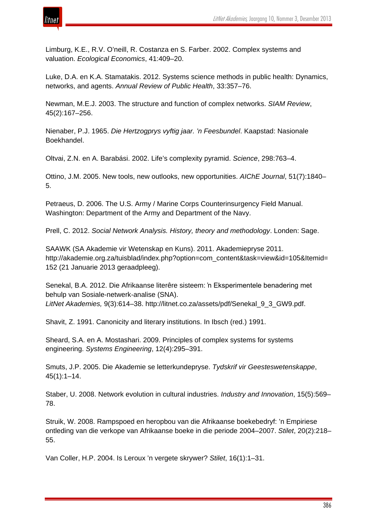

Limburg, K.E., R.V. O'neill, R. Costanza en S. Farber. 2002. Complex systems and valuation. *Ecological Economics*, 41:409–20.

Luke, D.A. en K.A. Stamatakis. 2012. Systems science methods in public health: Dynamics, networks, and agents. *Annual Review of Public Health*, 33:357–76.

Newman, M.E.J. 2003. The structure and function of complex networks. *SIAM Review*, 45(2):167–256.

Nienaber, P.J. 1965. *Die Hertzogprys vyftig jaar. 'n Feesbundel*. Kaapstad: Nasionale Boekhandel.

Oltvai, Z.N. en A. Barabási. 2002. Life's complexity pyramid. *Science*, 298:763–4.

Ottino, J.M. 2005. New tools, new outlooks, new opportunities. *AIChE Journal*, 51(7):1840– 5.

Petraeus, D. 2006. The U.S. Army / Marine Corps Counterinsurgency Field Manual. Washington: Department of the Army and Department of the Navy.

Prell, C. 2012. *Social Network Analysis. History, theory and methodology*. Londen: Sage.

SAAWK (SA Akademie vir Wetenskap en Kuns). 2011. Akademiepryse 2011. http://akademie.org.za/tuisblad/index.php?option=com\_content&task=view&id=105&Itemid= 152 (21 Januarie 2013 geraadpleeg).

Senekal, B.A. 2012. Die Afrikaanse literêre sisteem: 'n Eksperimentele benadering met behulp van Sosiale-netwerk-analise (SNA). *LitNet Akademies,* 9(3):614–38. http://litnet.co.za/assets/pdf/Senekal\_9\_3\_GW9.pdf.

Shavit, Z. 1991. Canonicity and literary institutions. In Ibsch (red.) 1991.

Sheard, S.A. en A. Mostashari. 2009. Principles of complex systems for systems engineering. *Systems Engineering*, 12(4):295–391.

Smuts, J.P. 2005. Die Akademie se letterkundepryse. *Tydskrif vir Geesteswetenskappe*, 45(1):1–14.

Staber, U. 2008. Network evolution in cultural industries. *Industry and Innovation*, 15(5):569– 78.

Struik, W. 2008. Rampspoed en heropbou van die Afrikaanse boekebedryf: 'n Empiriese ontleding van die verkope van Afrikaanse boeke in die periode 2004–2007. *Stilet*, 20(2):218– 55.

Van Coller, H.P. 2004. Is Leroux 'n vergete skrywer? *Stilet*, 16(1):1–31.